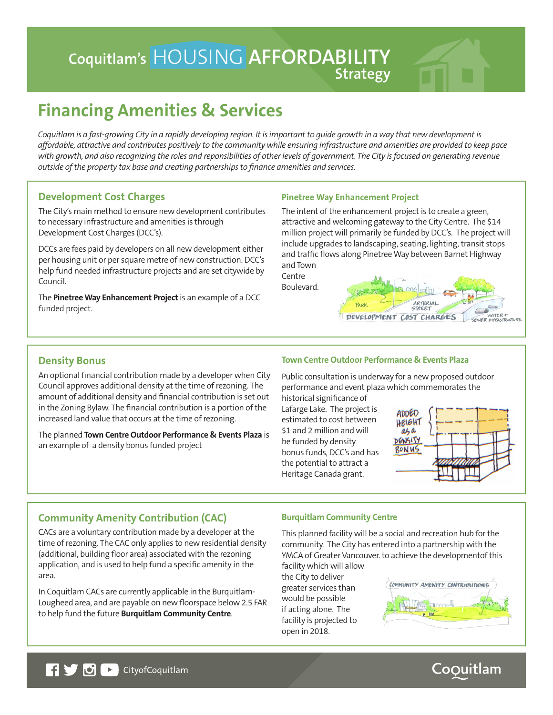## HOUSING **AFFORDABILITY Coquitlam's Strategy**

# **Financing Amenities & Services**

*Coquitlam is a fast-growing City in a rapidly developing region. It is important to guide growth in a way that new development is affordable, attractive and contributes positively to the community while ensuring infrastructure and amenities are provided to keep pace*  with growth, and also recognizing the roles and reponsibilities of other levels of government. The City is focused on generating revenue *outside of the property tax base and creating partnerships to finance amenities and services.*

#### **Development Cost Charges**

The City's main method to ensure new development contributes to necessary infrastructure and amenities is through Development Cost Charges (DCC's).

DCCs are fees paid by developers on all new development either per housing unit or per square metre of new construction. DCC's help fund needed infrastructure projects and are set citywide by Council.

The **Pinetree Way Enhancement Project** is an example of a DCC funded project.

#### **Pinetree Way Enhancement Project**

The intent of the enhancement project is to create a green, attractive and welcoming gateway to the City Centre. The \$14 million project will primarily be funded by DCC's. The project will include upgrades to landscaping, seating, lighting, transit stops and traffic flows along Pinetree Way between Barnet Highway and Town

**Centre** Boulevard.



#### **Density Bonus**

An optional financial contribution made by a developer when City Council approves additional density at the time of rezoning. The amount of additional density and financial contribution is set out in the Zoning Bylaw. The financial contribution is a portion of the increased land value that occurs at the time of rezoning.

The planned **Town Centre Outdoor Performance & Events Plaza** is an example of a density bonus funded project

#### **Town Centre Outdoor Performance & Events Plaza**

Public consultation is underway for a new proposed outdoor performance and event plaza which commemorates the historical significance of

Lafarge Lake. The project is estimated to cost between \$1 and 2 million and will be funded by density bonus funds, DCC's and has the potential to attract a Heritage Canada grant.



### **Community Amenity Contribution (CAC)**

CACs are a voluntary contribution made by a developer at the time of rezoning. The CAC only applies to new residential density (additional, building floor area) associated with the rezoning application, and is used to help fund a specific amenity in the area.

In Coquitlam CACs are currently applicable in the Burquitlam-Lougheed area, and are payable on new floorspace below 2.5 FAR to help fund the future **Burquitlam Community Centre**.

#### **Burquitlam Community Centre**

This planned facility will be a social and recreation hub for the community. The City has entered into a partnership with the YMCA of Greater Vancouver. to achieve the developmentof this facility which will allow

the City to deliver greater services than would be possible if acting alone. The facility is projected to open in 2018.